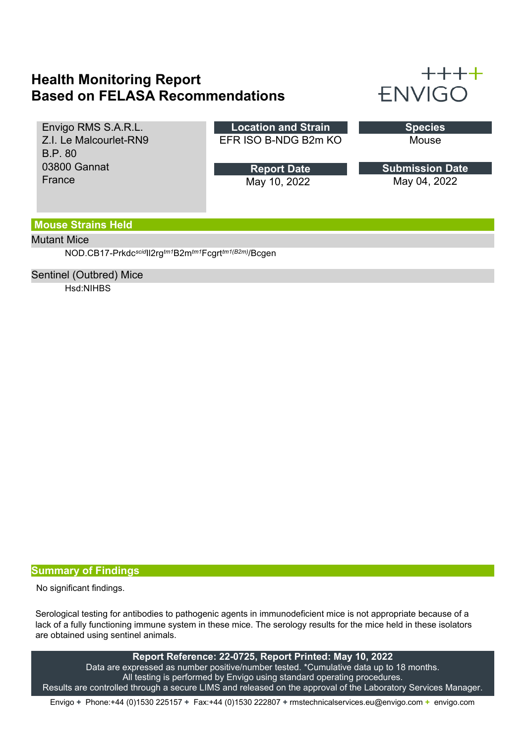## **Health Monitoring Report Based on FELASA Recommendations**



| Envigo RMS S.A.R.L.    | <b>Location and Strain</b> | <b>Species</b>         |
|------------------------|----------------------------|------------------------|
| Z.I. Le Malcourlet-RN9 | EFR ISO B-NDG B2m KO       | Mouse                  |
| <b>B.P. 80</b>         |                            |                        |
|                        |                            |                        |
| 03800 Gannat           | <b>Report Date</b>         | <b>Submission Date</b> |
| France                 | May 10, 2022               | May 04, 2022           |

### **Mouse Strains Held**

#### Mutant Mice

NOD.CB17-Prkdc*scid*Il2rg*tm1*B2m*tm1*Fcgrt*tm1(B2m)*/Bcgen

#### Sentinel (Outbred) Mice

Hsd:NIHBS

#### **Summary of Findings**

No significant findings.

Serological testing for antibodies to pathogenic agents in immunodeficient mice is not appropriate because of a lack of a fully functioning immune system in these mice. The serology results for the mice held in these isolators are obtained using sentinel animals.

**Report Reference: 22-0725, Report Printed: May 10, 2022** Data are expressed as number positive/number tested. \*Cumulative data up to 18 months. All testing is performed by Envigo using standard operating procedures. Results are controlled through a secure LIMS and released on the approval of the Laboratory Services Manager.

Envigo **+** Phone:+44 (0)1530 225157 **+** Fax:+44 (0)1530 222807 **+** rmstechnicalservices.eu@envigo.com **+** envigo.com